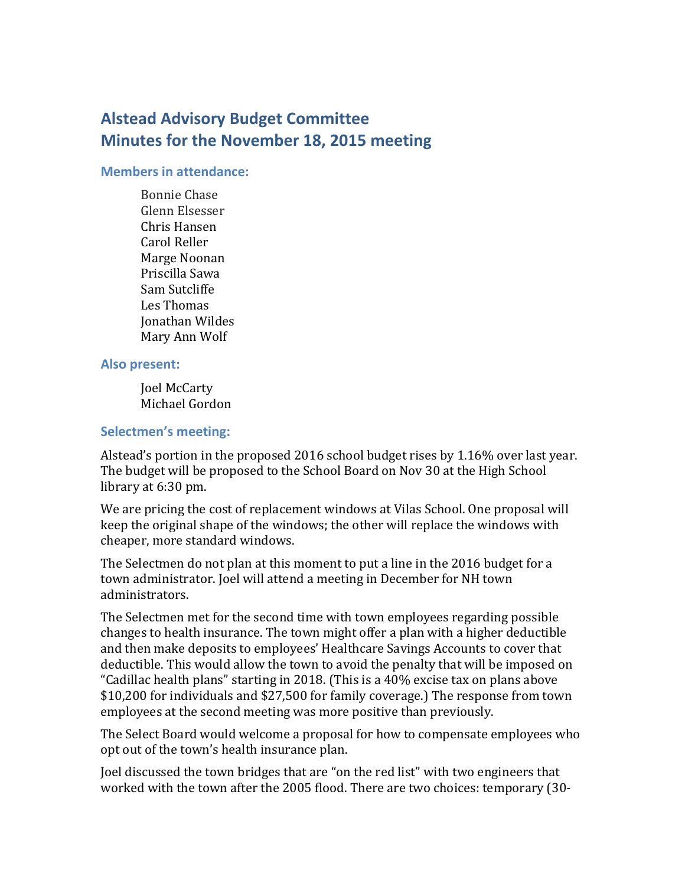# **Alstead Advisory Budget Committee Minutes for the November 18, 2015 meeting**

#### **Members in attendance:**

Bonnie Chase Glenn Elsesser Chris Hansen Carol Reller Marge Noonan Priscilla Sawa Sam Sutcliffe Les Thomas Jonathan Wildes Mary Ann Wolf

#### **Also present:**

Joel McCarty Michael Gordon

## **Selectmen's meeting:**

Alstead's portion in the proposed 2016 school budget rises by 1.16% over last year. The budget will be proposed to the School Board on Nov 30 at the High School library at 6:30 pm.

We are pricing the cost of replacement windows at Vilas School. One proposal will keep the original shape of the windows; the other will replace the windows with cheaper, more standard windows.

The Selectmen do not plan at this moment to put a line in the 2016 budget for a town administrator. Joel will attend a meeting in December for NH town administrators.

The Selectmen met for the second time with town employees regarding possible changes to health insurance. The town might offer a plan with a higher deductible and then make deposits to employees' Healthcare Savings Accounts to cover that deductible. This would allow the town to avoid the penalty that will be imposed on "Cadillac health plans" starting in 2018. (This is a 40% excise tax on plans above \$10,200 for individuals and \$27,500 for family coverage.) The response from town employees at the second meeting was more positive than previously.

The Select Board would welcome a proposal for how to compensate employees who opt out of the town's health insurance plan.

Joel discussed the town bridges that are "on the red list" with two engineers that worked with the town after the 2005 flood. There are two choices: temporary (30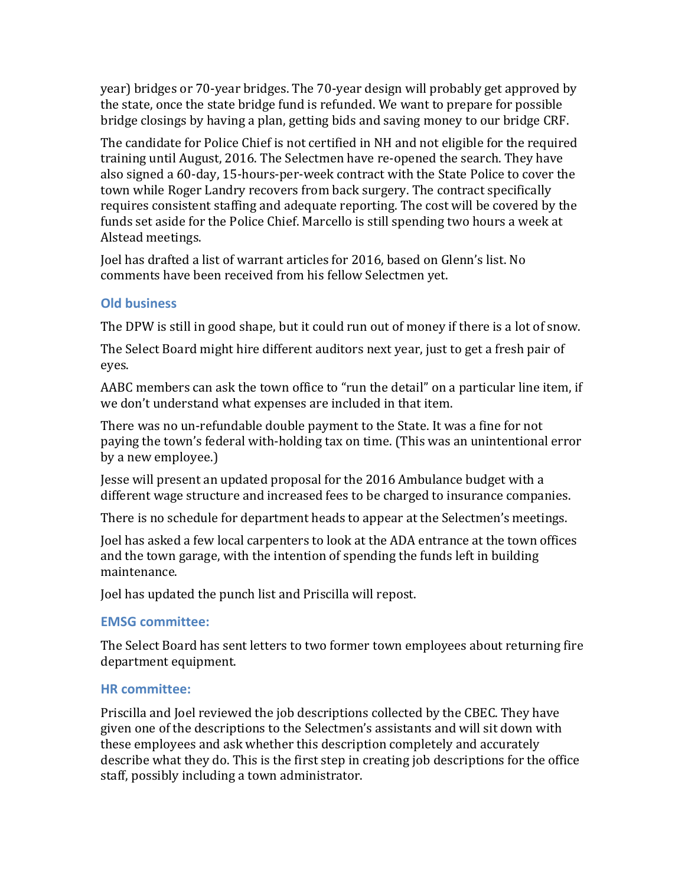year) bridges or 70-year bridges. The 70-year design will probably get approved by the state, once the state bridge fund is refunded. We want to prepare for possible bridge closings by having a plan, getting bids and saving money to our bridge CRF.

The candidate for Police Chief is not certified in NH and not eligible for the required training until August, 2016. The Selectmen have re-opened the search. They have also signed a 60-day, 15-hours-per-week contract with the State Police to cover the town while Roger Landry recovers from back surgery. The contract specifically requires consistent staffing and adequate reporting. The cost will be covered by the funds set aside for the Police Chief. Marcello is still spending two hours a week at Alstead meetings.

Joel has drafted a list of warrant articles for 2016, based on Glenn's list. No comments have been received from his fellow Selectmen yet.

# **Old business**

The DPW is still in good shape, but it could run out of money if there is a lot of snow.

The Select Board might hire different auditors next year, just to get a fresh pair of eyes.

AABC members can ask the town office to "run the detail" on a particular line item, if we don't understand what expenses are included in that item.

There was no un-refundable double payment to the State. It was a fine for not paying the town's federal with-holding tax on time. (This was an unintentional error by a new employee.)

Jesse will present an updated proposal for the 2016 Ambulance budget with a different wage structure and increased fees to be charged to insurance companies.

There is no schedule for department heads to appear at the Selectmen's meetings.

Joel has asked a few local carpenters to look at the ADA entrance at the town offices and the town garage, with the intention of spending the funds left in building maintenance.

Joel has updated the punch list and Priscilla will repost.

# **EMSG committee:**

The Select Board has sent letters to two former town employees about returning fire department equipment.

# **HR committee:**

Priscilla and Joel reviewed the job descriptions collected by the CBEC. They have given one of the descriptions to the Selectmen's assistants and will sit down with these employees and ask whether this description completely and accurately describe what they do. This is the first step in creating job descriptions for the office staff, possibly including a town administrator.